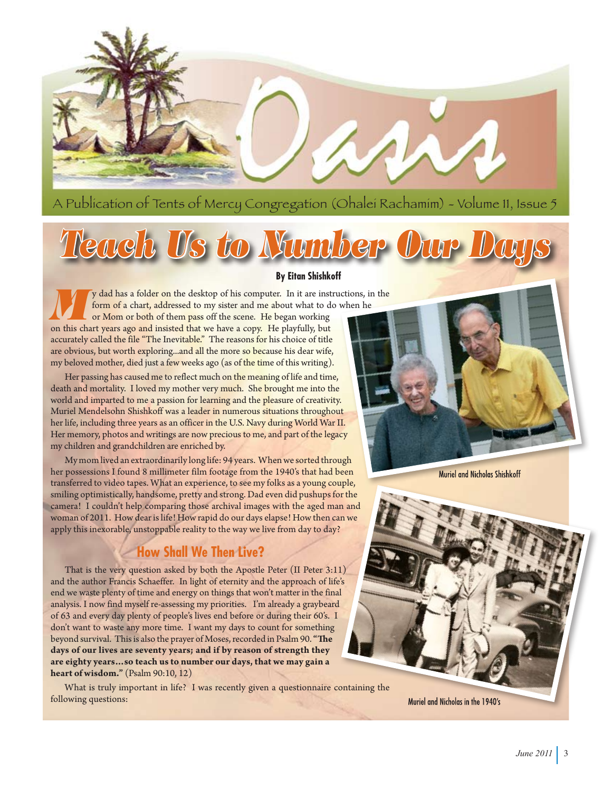

A Publication of Tents of Mercy Congregation (Ohalei Rachamim) - Volume 11, Issue 5

# *Teach Us to Number Our Days*

#### **By Eitan Shishkoff**

**y** dad has a folder on the desktop of his computer. In it are instructions, in the form of a chart, addressed to my sister and me about what to do when he or Mom or both of them pass off the scene. He began working on this chart years ago and insisted that we have a copy. He playfully, but accurately called the file "The Inevitable." The reasons for his choice of title are obvious, but worth exploring...and all the more so because his dear wife, my beloved mother, died just a few weeks ago (as of the time of this writing).

Her passing has caused me to reflect much on the meaning of life and time, death and mortality. I loved my mother very much. She brought me into the world and imparted to me a passion for learning and the pleasure of creativity. Muriel Mendelsohn Shishkoff was a leader in numerous situations throughout her life, including three years as an officer in the U.S. Navy during World War II. Her memory, photos and writings are now precious to me, and part of the legacy my children and grandchildren are enriched by.

My mom lived an extraordinarily long life: 94 years. When we sorted through her possessions I found 8 millimeter film footage from the 1940's that had been transferred to video tapes. What an experience, to see my folks as a young couple, smiling optimistically, handsome, pretty and strong. Dad even did pushups for the camera! I couldn't help comparing those archival images with the aged man and woman of 2011. How dear is life! How rapid do our days elapse! How then can we apply this inexorable, unstoppable reality to the way we live from day to day?

## **How Shall We Then Live?**

That is the very question asked by both the Apostle Peter (II Peter 3:11) and the author Francis Schaeffer. In light of eternity and the approach of life's end we waste plenty of time and energy on things that won't matter in the final analysis. I now find myself re-assessing my priorities. I'm already a graybeard of 63 and every day plenty of people's lives end before or during their 60's. I don't want to waste any more time. I want my days to count for something beyond survival. This is also the prayer of Moses, recorded in Psalm 90. **"The days of our lives are seventy years; and if by reason of strength they are eighty years…so teach us to number our days, that we may gain a heart of wisdom."** (Psalm 90:10, 12)

What is truly important in life? I was recently given a questionnaire containing the following questions:

Muriel and Nicholas Shishkoff

Muriel and Nicholas in the 1940's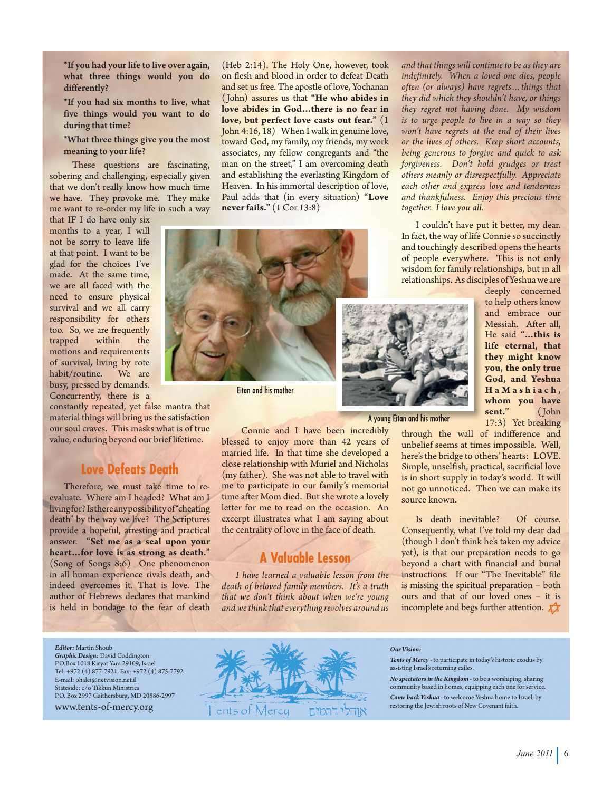\*If you had your life to live over again, what three things would you do differently?

\*If you had six months to live, what five things would you want to do during that time?

\*What three things give you the most meaning to your life?

These questions are fascinating, sobering and challenging, especially given that we don't really know how much time we have. They provoke me. They make me want to re-order my life in such a way

that IF I do have only six months to a year, I will not be sorry to leave life at that point. I want to be glad for the choices I've made. At the same time, we are all faced with the need to ensure physical survival and we all carry responsibility for others too. So, we are frequently trapped motions and requirements of survival, living by rote<br>habit/routine. We are habit/routine. busy, pressed by demands. Concurrently, there is a

constantly repeated, yet false mantra that material things will bring us the satisfaction our soul craves. This masks what is of true value, enduring beyond our brief lifetime.

#### **Love Defeats Death**

Therefore, we must take time to reevaluate. Where am I headed? What am I living for? Is there any possibility of "cheating death" by the way we live? The Scriptures provide a hopeful, arresting and practical answer. **"Set me as a seal upon your heart…for love is as strong as death."** (Song of Songs 8:6) One phenomenon in all human experience rivals death, and indeed overcomes it. That is love. The author of Hebrews declares that mankind is held in bondage to the fear of death

(Heb 2:14). The Holy One, however, took on flesh and blood in order to defeat Death and set us free. The apostle of love, Yochanan ( John) assures us that **"He who abides in love abides in God…there is no fear in love, but perfect love casts out fear."** (1 John 4:16, 18) When I walk in genuine love, toward God, my family, my friends, my work associates, my fellow congregants and "the man on the street," I am overcoming death and establishing the everlasting Kingdom of Heaven. In his immortal description of love, Paul adds that (in every situation) **"Love never fails."** (1 Cor 13:8)



**Eitan and his mother** 

 Connie and I have been incredibly blessed to enjoy more than 42 years of married life. In that time she developed a close relationship with Muriel and Nicholas (my father). She was not able to travel with me to participate in our family's memorial time after Mom died. But she wrote a lovely letter for me to read on the occasion. An excerpt illustrates what I am saying about the centrality of love in the face of death.

### **A Valuable Lesson**

*I have learned a valuable lesson from the death of beloved family members. It's a truth that we don't think about when we're young and we think that everything revolves around us* 

*and that things will continue to be as they are indefinitely. When a loved one dies, people often (or always) have regrets…things that they did which they shouldn't have, or things they regret not having done. My wisdom is to urge people to live in a way so they won't have regrets at the end of their lives or the lives of others. Keep short accounts, being generous to forgive and quick to ask forgiveness. Don't hold grudges or treat others meanly or disrespectfully. Appreciate each other and express love and tenderness and thankfulness. Enjoy this precious time together. I love you all.*

I couldn't have put it better, my dear. In fact, the way of life Connie so succinctly and touchingly described opens the hearts of people everywhere. This is not only wisdom for family relationships, but in all relationships. As disciples of Yeshua we are



A young Eitan and his mother

Messiah. After all, He said **"…this is life eternal, that they might know you, the only true God, and Yeshua H a M a s h i a c h , whom you have sent."** ( John 17:3) Yet breaking

deeply concerned to help others know and embrace our

through the wall of indifference and unbelief seems at times impossible. Well, here's the bridge to others' hearts: LOVE. Simple, unselfish, practical, sacrificial love is in short supply in today's world. It will not go unnoticed. Then we can make its source known.

Is death inevitable? Of course. Consequently, what I've told my dear dad (though I don't think he's taken my advice yet), is that our preparation needs to go beyond a chart with financial and burial instructions. If our "The Inevitable" file is missing the spiritual preparation – both ours and that of our loved ones – it is incomplete and begs further attention.  $\chi$ 

*Editor:* Martin Shoub *Graphic Design:* David Coddington P.O.Box 1018 Kiryat Yam 29109, Israel Tel: +972 (4) 877-7921, Fax: +972 (4) 875-7792 E-mail: ohalei@netvision.net.il Stateside: c/o Tikkun Ministries P.O. Box 2997 Gaithersburg, MD 20886-2997 www.tents-of-mercy.org



#### *Our Vision:*

*Tents of Mercy* - to participate in today's historic exodus by assisting Israel's returning exiles.

*No spectators in the Kingdom* - to be a worshiping, sharing community based in homes, equipping each one for service. *Come back Yeshua* - to welcome Yeshua home to Israel, by restoring the Jewish roots of New Covenant faith.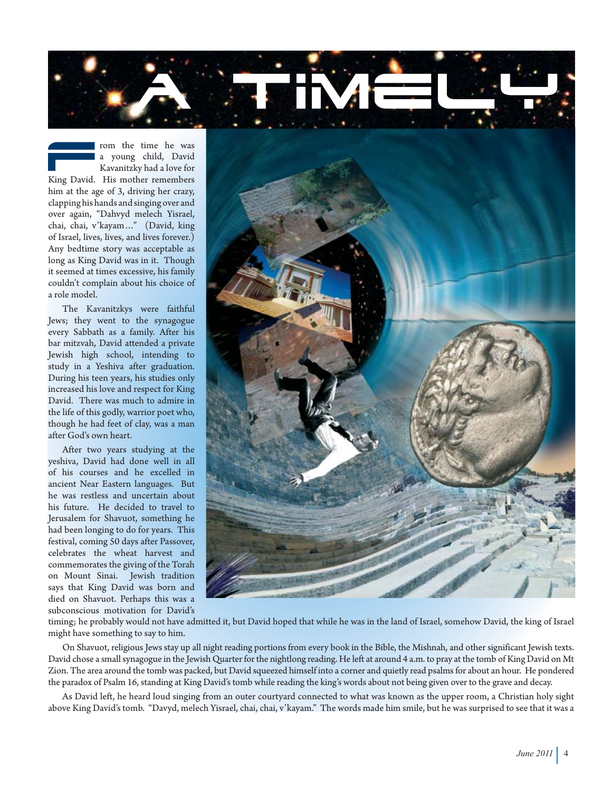

rom the time he was a young child, David Kavanitzky had a love for King David. His mother remembers him at the age of 3, driving her crazy, clapping his hands and singing over and over again, "Dahvyd melech Yisrael, chai, chai, v'kayam…" (David, king of Israel, lives, lives, and lives forever.) Any bedtime story was acceptable as long as King David was in it. Though it seemed at times excessive, his family couldn't complain about his choice of a role model.

The Kavanitzkys were faithful Jews; they went to the synagogue every Sabbath as a family. After his bar mitzvah, David attended a private Jewish high school, intending to study in a Yeshiva after graduation. During his teen years, his studies only increased his love and respect for King David. There was much to admire in the life of this godly, warrior poet who, though he had feet of clay, was a man after God's own heart.

After two years studying at the yeshiva, David had done well in all of his courses and he excelled in ancient Near Eastern languages. But he was restless and uncertain about his future. He decided to travel to Jerusalem for Shavuot, something he had been longing to do for years. This festival, coming 50 days after Passover, celebrates the wheat harvest and commemorates the giving of the Torah on Mount Sinai. Jewish tradition says that King David was born and died on Shavuot. Perhaps this was a subconscious motivation for David's



timing; he probably would not have admitted it, but David hoped that while he was in the land of Israel, somehow David, the king of Israel might have something to say to him.

On Shavuot, religious Jews stay up all night reading portions from every book in the Bible, the Mishnah, and other significant Jewish texts. David chose a small synagogue in the Jewish Quarter for the nightlong reading. He left at around 4 a.m. to pray at the tomb of King David on Mt Zion. The area around the tomb was packed, but David squeezed himself into a corner and quietly read psalms for about an hour. He pondered the paradox of Psalm 16, standing at King David's tomb while reading the king's words about not being given over to the grave and decay.

As David left, he heard loud singing from an outer courtyard connected to what was known as the upper room, a Christian holy sight above King David's tomb. "Davyd, melech Yisrael, chai, chai, v'kayam." The words made him smile, but he was surprised to see that it was a